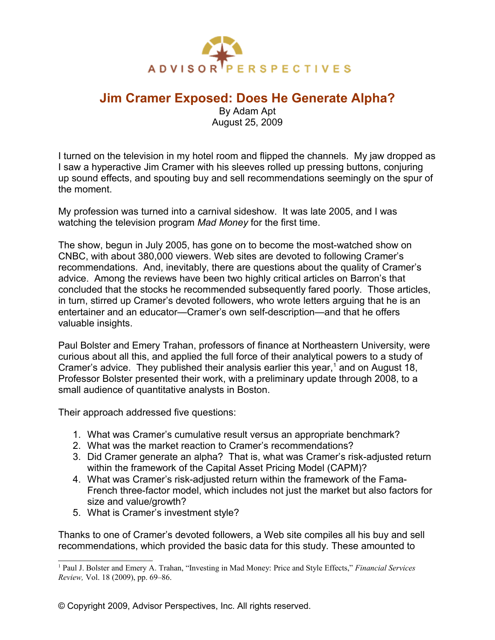

## **Jim Cramer Exposed: Does He Generate Alpha?**

By Adam Apt August 25, 2009

I turned on the television in my hotel room and flipped the channels. My jaw dropped as I saw a hyperactive Jim Cramer with his sleeves rolled up pressing buttons, conjuring up sound effects, and spouting buy and sell recommendations seemingly on the spur of the moment.

My profession was turned into a carnival sideshow. It was late 2005, and I was watching the television program *Mad Money* for the first time.

The show, begun in July 2005, has gone on to become the most-watched show on CNBC, with about 380,000 viewers. Web sites are devoted to following Cramer's recommendations. And, inevitably, there are questions about the quality of Cramer's advice. Among the reviews have been two highly critical articles on Barron's that concluded that the stocks he recommended subsequently fared poorly. Those articles, in turn, stirred up Cramer's devoted followers, who wrote letters arguing that he is an entertainer and an educator—Cramer's own self-description—and that he offers valuable insights.

Paul Bolster and Emery Trahan, professors of finance at Northeastern University, were curious about all this, and applied the full force of their analytical powers to a study of Cramer's advice. They published their analysis earlier this year,<sup>[1](#page-0-0)</sup> and on August 18, Professor Bolster presented their work, with a preliminary update through 2008, to a small audience of quantitative analysts in Boston.

Their approach addressed five questions:

- 1. What was Cramer's cumulative result versus an appropriate benchmark?
- 2. What was the market reaction to Cramer's recommendations?
- 3. Did Cramer generate an alpha? That is, what was Cramer's risk-adjusted return within the framework of the Capital Asset Pricing Model (CAPM)?
- 4. What was Cramer's risk-adjusted return within the framework of the Fama-French three-factor model, which includes not just the market but also factors for size and value/growth?
- 5. What is Cramer's investment style?

Thanks to one of Cramer's devoted followers, a Web site compiles all his buy and sell recommendations, which provided the basic data for this study. These amounted to

<span id="page-0-0"></span><sup>&</sup>lt;sup>1</sup> Paul J. Bolster and Emery A. Trahan, "Investing in Mad Money: Price and Style Effects," *Financial Services Review,* Vol. 18 (2009), pp. 69–86.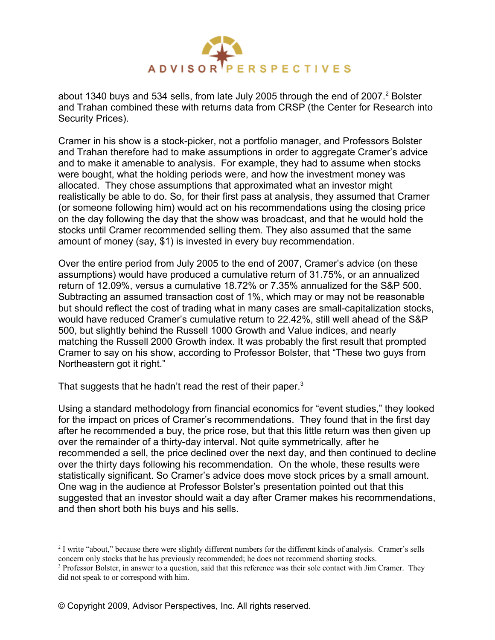

about 1340 buys and 534 sells, from late July [2](#page-1-0)005 through the end of 2007. $^2$  Bolster and Trahan combined these with returns data from CRSP (the Center for Research into Security Prices).

Cramer in his show is a stock-picker, not a portfolio manager, and Professors Bolster and Trahan therefore had to make assumptions in order to aggregate Cramer's advice and to make it amenable to analysis. For example, they had to assume when stocks were bought, what the holding periods were, and how the investment money was allocated. They chose assumptions that approximated what an investor might realistically be able to do. So, for their first pass at analysis, they assumed that Cramer (or someone following him) would act on his recommendations using the closing price on the day following the day that the show was broadcast, and that he would hold the stocks until Cramer recommended selling them. They also assumed that the same amount of money (say, \$1) is invested in every buy recommendation.

Over the entire period from July 2005 to the end of 2007, Cramer's advice (on these assumptions) would have produced a cumulative return of 31.75%, or an annualized return of 12.09%, versus a cumulative 18.72% or 7.35% annualized for the S&P 500. Subtracting an assumed transaction cost of 1%, which may or may not be reasonable but should reflect the cost of trading what in many cases are small-capitalization stocks, would have reduced Cramer's cumulative return to 22.42%, still well ahead of the S&P 500, but slightly behind the Russell 1000 Growth and Value indices, and nearly matching the Russell 2000 Growth index. It was probably the first result that prompted Cramer to say on his show, according to Professor Bolster, that "These two guys from Northeastern got it right."

That suggests that he hadn't read the rest of their paper.<sup>[3](#page-1-1)</sup>

Using a standard methodology from financial economics for "event studies," they looked for the impact on prices of Cramer's recommendations. They found that in the first day after he recommended a buy, the price rose, but that this little return was then given up over the remainder of a thirty-day interval. Not quite symmetrically, after he recommended a sell, the price declined over the next day, and then continued to decline over the thirty days following his recommendation. On the whole, these results were statistically significant. So Cramer's advice does move stock prices by a small amount. One wag in the audience at Professor Bolster's presentation pointed out that this suggested that an investor should wait a day after Cramer makes his recommendations, and then short both his buys and his sells.

<span id="page-1-0"></span><sup>&</sup>lt;sup>2</sup> I write "about," because there were slightly different numbers for the different kinds of analysis. Cramer's sells concern only stocks that he has previously recommended; he does not recommend shorting stocks.

<span id="page-1-1"></span><sup>&</sup>lt;sup>3</sup> Professor Bolster, in answer to a question, said that this reference was their sole contact with Jim Cramer. They did not speak to or correspond with him.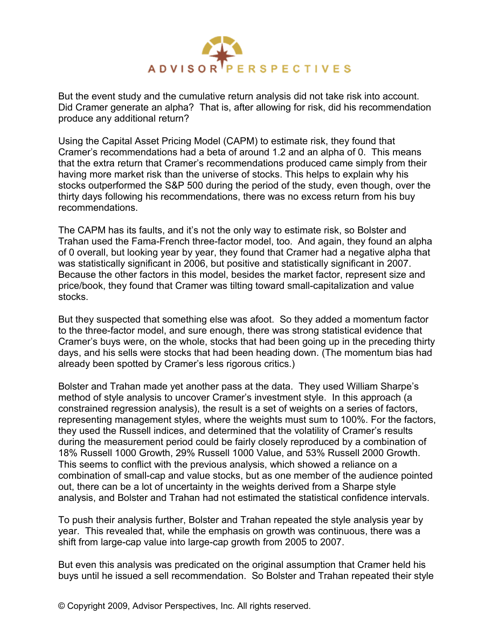

But the event study and the cumulative return analysis did not take risk into account. Did Cramer generate an alpha? That is, after allowing for risk, did his recommendation produce any additional return?

Using the Capital Asset Pricing Model (CAPM) to estimate risk, they found that Cramer's recommendations had a beta of around 1.2 and an alpha of 0. This means that the extra return that Cramer's recommendations produced came simply from their having more market risk than the universe of stocks. This helps to explain why his stocks outperformed the S&P 500 during the period of the study, even though, over the thirty days following his recommendations, there was no excess return from his buy recommendations.

The CAPM has its faults, and it's not the only way to estimate risk, so Bolster and Trahan used the Fama-French three-factor model, too. And again, they found an alpha of 0 overall, but looking year by year, they found that Cramer had a negative alpha that was statistically significant in 2006, but positive and statistically significant in 2007. Because the other factors in this model, besides the market factor, represent size and price/book, they found that Cramer was tilting toward small-capitalization and value stocks.

But they suspected that something else was afoot. So they added a momentum factor to the three-factor model, and sure enough, there was strong statistical evidence that Cramer's buys were, on the whole, stocks that had been going up in the preceding thirty days, and his sells were stocks that had been heading down. (The momentum bias had already been spotted by Cramer's less rigorous critics.)

Bolster and Trahan made yet another pass at the data. They used William Sharpe's method of style analysis to uncover Cramer's investment style. In this approach (a constrained regression analysis), the result is a set of weights on a series of factors, representing management styles, where the weights must sum to 100%. For the factors, they used the Russell indices, and determined that the volatility of Cramer's results during the measurement period could be fairly closely reproduced by a combination of 18% Russell 1000 Growth, 29% Russell 1000 Value, and 53% Russell 2000 Growth. This seems to conflict with the previous analysis, which showed a reliance on a combination of small-cap and value stocks, but as one member of the audience pointed out, there can be a lot of uncertainty in the weights derived from a Sharpe style analysis, and Bolster and Trahan had not estimated the statistical confidence intervals.

To push their analysis further, Bolster and Trahan repeated the style analysis year by year. This revealed that, while the emphasis on growth was continuous, there was a shift from large-cap value into large-cap growth from 2005 to 2007.

But even this analysis was predicated on the original assumption that Cramer held his buys until he issued a sell recommendation. So Bolster and Trahan repeated their style